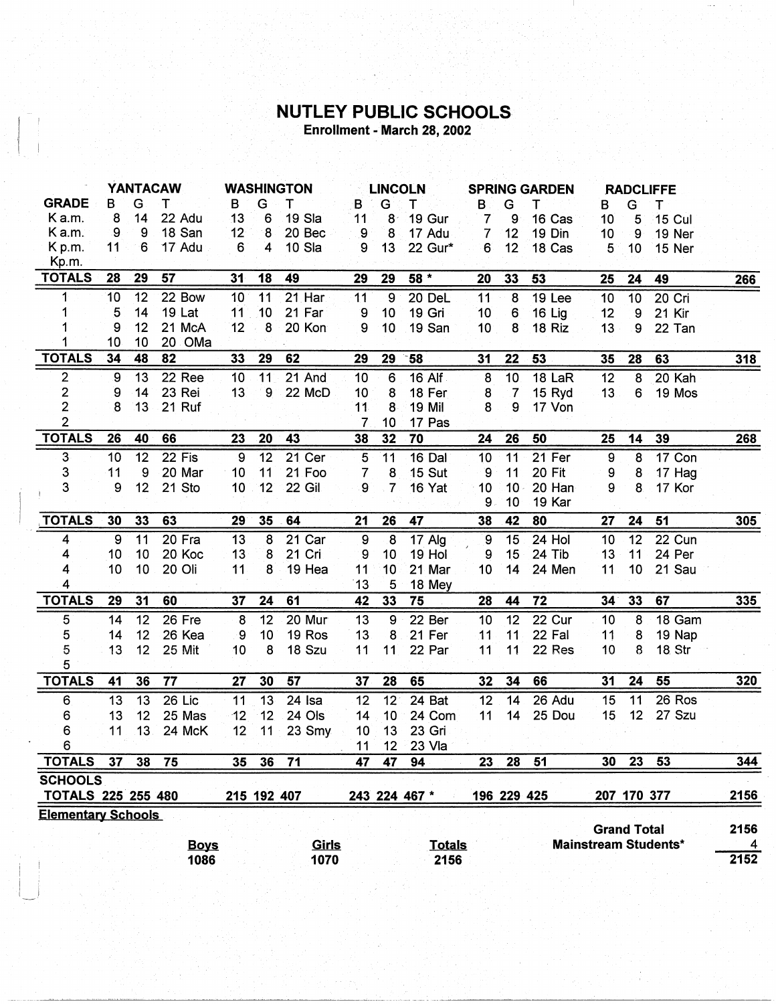## **NUTLEY PUBLIC SCHOOLS**<br>Enrollment - March 28, 2002

|                           | <b>YANTACAW</b>  |     |               | <b>WASHINGTON</b> |                 | <b>LINCOLN</b> |                |                 | <b>SPRING GARDEN</b> |                |                 | <b>RADCLIFFE</b> |                    |                |                             |                |
|---------------------------|------------------|-----|---------------|-------------------|-----------------|----------------|----------------|-----------------|----------------------|----------------|-----------------|------------------|--------------------|----------------|-----------------------------|----------------|
| <b>GRADE</b>              | в                | G   | т             | в                 | G               | т              | B              | G               | т                    | в              | G               | т                | в                  | G              | т                           |                |
| Ka.m.                     | 8                | 14  | 22 Adu        | 13                | 6               | 19 Sla         | 11             | 8               | 19 Gur               | $\overline{7}$ | 9               | 16 Cas           | 10                 | 5              | <b>15 Cul</b>               |                |
| Ka.m.                     | .9               | 9   | 18 San        | 12 <sup>°</sup>   | 8               | 20 Bec         | 9              | 8               | 17 Adu               | $\overline{7}$ | 12              | 19 Din           | 10                 | 9              | 19 Ner                      |                |
| K p.m.                    | 11               | 6   | 17 Adu        | 6                 | $\overline{4}$  | 10 Sla         | 9              | 13              | 22 Gur*              | 6 <sup>°</sup> | 12              | 18 Cas           | 5                  | 10             | 15 Ner                      |                |
| Kp.m.                     |                  |     |               |                   |                 |                |                |                 |                      |                |                 |                  |                    |                |                             |                |
| <b>TOTALS</b>             | 28               | 29  | 57            | 31                | 18              | 49             | 29             | 29              | $58*$                | 20             | 33              | 53               | 25                 | 24             | 49                          | 266            |
| 1                         | 10               | 12  | 22 Bow        | 10                | 11              | $21$ Har       | 11             | $\overline{9}$  | 20 DeL               | 11             | 8               | 19 Lee           | 10                 | 10             | 20 Cri                      |                |
| 1                         | 5                | 14  | <b>19 Lat</b> | 11                | 10              | 21 Far         | 9              | 10              | 19 Gri               | 10             | 6               | 16 Lig           | 12                 | $\overline{9}$ | 21 Kir                      |                |
|                           | 9                | 12  | 21 McA        | 12                | 8               | 20 Kon         | 9              | 10              | 19 San               | 10             | 8               | 18 Riz           | 13                 | 9              | 22 Tan                      |                |
|                           | 10               | 10  | 20 OMa        |                   |                 |                |                |                 |                      |                |                 |                  |                    |                |                             |                |
| <b>TOTALS</b>             | 34               | 48  | 82            | 33                | 29              | 62             | 29             | 29              | $-58$                | 31             | 22              | 53               | 35                 | 28             | 63                          | 318            |
| $\overline{c}$            | $\boldsymbol{9}$ | 13  | 22 Ree        | 10                | 11              | 21 And         | 10             | 6               | 16 Alf               | 8              | 10              | 18 LaR           | 12                 | 8              | 20 Kah                      |                |
| $\mathbf 2$               | 9                | 14  | 23 Rei        | 13                | 9               | 22 McD         | 10             | 8               | 18 Fer               | 8              | $\overline{7}$  | 15 Ryd           | 13 <sub>1</sub>    | 6              | 19 Mos                      |                |
| $\overline{2}$            | 8                | 13  | 21 Ruf        |                   |                 |                | 11             | 8               | 19 Mil               | 8              | 9               | 17 Von           |                    |                |                             |                |
| $\overline{2}$            |                  |     |               |                   |                 |                | 7              | 10              | 17 Pas               |                |                 |                  |                    |                |                             |                |
| <b>TOTALS</b>             | 26               | 40  | 66            | 23                | 20              | 43             | 38             | 32              | 70                   | 24             | 26              | 50               | 25                 | 14             | 39                          | <b>268</b>     |
| 3                         | 10               | 12  | $22$ Fis      | 9                 | 12              | 21 Cer         | 5              | 11              | 16 Dal               | 10             | 11              | 21 Fer           | $\overline{9}$     | 8              | 17 Con                      |                |
| 3                         | 11               | 9   | 20 Mar        | 10                | 11              | 21 Foo         | $\overline{7}$ | 8               | <b>15 Sut</b>        | 9              | 11              | 20 Fit           | 9                  | 8              | 17 Hag                      |                |
| 3                         | 9                | 12  | 21 Sto        | 10                | 12              | 22 Gil         | 9              | $\overline{7}$  | 16 Yat               | 10             | 10 <sub>1</sub> | 20 Han           | 9                  | 8              | 17 Kor                      |                |
|                           |                  |     |               |                   |                 |                |                |                 |                      | 9              | 10              | 19 Kar           |                    |                |                             |                |
| <b>TOTALS</b>             | 30               | 33  | 63            | 29                | 35              | 64             | 21             | 26              | 47                   | 38             | 42              | 80               | 27                 | 24             | 51                          | 305            |
| 4                         | 9                | 11  | 20 Fra        | 13                | 8               | 21 Car         | 9              | $8^{\circ}$     | 17 Alg               | <b>9</b>       | 15              | 24 Hol           | 10                 | 12             | 22 Cun                      |                |
| 4                         | 10               | 10  | 20 Koc        | 13                | 8               | 21 Cri         | 9              | 10              | 19 Hol               | 9              | 15              | 24 Tib           | 13                 | 11             | 24 Per                      |                |
| 4                         | 10               | 10  | 20 Oli        | 11                | 8               | 19 Hea         | 11             | 10 <sup>1</sup> | 21 Mar               | 10             | 14              | 24 Men           | 11                 | 10             | 21 Sau                      |                |
| 4                         |                  |     |               |                   |                 |                | 13             | 5               | 18 Mey               |                |                 |                  |                    |                |                             |                |
| <b>TOTALS</b>             | 29               | 31  | 60            | 37                | 24              | 61             | 42             | 33              | 75                   | 28             | 44              | 72               | 34                 | 33             | 67                          | 335            |
| 5                         | 14               | 12  | 26 Fre        | 8                 | 12              | 20 Mur         | 13             | $\overline{9}$  | 22 Ber               | 10             | $\overline{12}$ | 22 Cur           | 10 <sub>1</sub>    | 8              | 18 Gam                      |                |
| 5                         | 14               | 12  | 26 Kea        | 9                 | 10              | 19 Ros         | 13             | 8               | 21 Fer               | 11             | 11              | 22 Fal           | 11                 | 8              | 19 Nap                      |                |
| 5                         | 13               | 12  | 25 Mit        | 10                | 8               | 18 Szu         | 11             | 11              | 22 Par               | 11             | 11              | 22 Res           | 10                 | 8              | 18. Str                     |                |
| 5                         |                  |     |               |                   |                 |                |                |                 |                      |                |                 |                  |                    |                |                             |                |
| <b>TOTALS</b>             | 41               | 36  | 77            | 27                | 30              | 57             | 37             | 28              | 65                   | 32             | 34              | 66               | 31                 | 24             | 55                          | 320            |
| 6                         | 13               | 13  | 26 Lic        | 11                | 13              | 24 Isa         | 12             | $12^{\circ}$    | 24 Bat               | 12             | 14              | 26 Adu           | 15                 | 11             | 26 Ros                      |                |
| 6                         | 13               | 12  | 25 Mas        | 12                | 12              | 24 Ols         | 14             | 10 <sub>1</sub> | 24 Com               | 11             | 14              | 25 Dou           | 15                 | 12             | 27 Szu                      |                |
| 6                         | 11               | 13. | 24 McK        | 12                | 11              | $23$ Smy       | 10             | 13              | 23 Gri               |                |                 |                  |                    |                |                             |                |
| 6                         |                  |     |               |                   |                 |                | 11             | 12 <sub>2</sub> | 23 Vla               |                |                 |                  |                    |                |                             |                |
| <b>TOTALS</b>             | 37               | 38  | 75            | 35                | 36 <sub>2</sub> | 71             | 47             | 47              | 94                   | 23             | 28              | 51               | 30                 | 23             | 53                          | 344            |
| <b>SCHOOLS</b>            |                  |     |               |                   |                 |                |                |                 |                      |                |                 |                  |                    |                |                             |                |
| <b>TOTALS 225 255 480</b> |                  |     |               |                   | 215 192 407     |                |                |                 | 243 224 467 *        |                | 196 229 425     |                  |                    | 207 170 377    |                             | 2156           |
| <b>Elementary Schools</b> |                  |     |               |                   |                 |                |                |                 |                      |                |                 |                  |                    |                |                             |                |
|                           |                  |     |               |                   |                 |                |                |                 |                      |                |                 |                  | <b>Grand Total</b> |                |                             | 2156           |
|                           |                  |     | <b>Boys</b>   |                   |                 | <u>Girls</u>   |                |                 | <b>Totals</b>        |                |                 |                  |                    |                | <b>Mainstream Students*</b> | $\overline{4}$ |
|                           |                  |     | 1086          |                   |                 | 1070           |                |                 | 2156                 |                |                 |                  |                    |                |                             | 2152           |